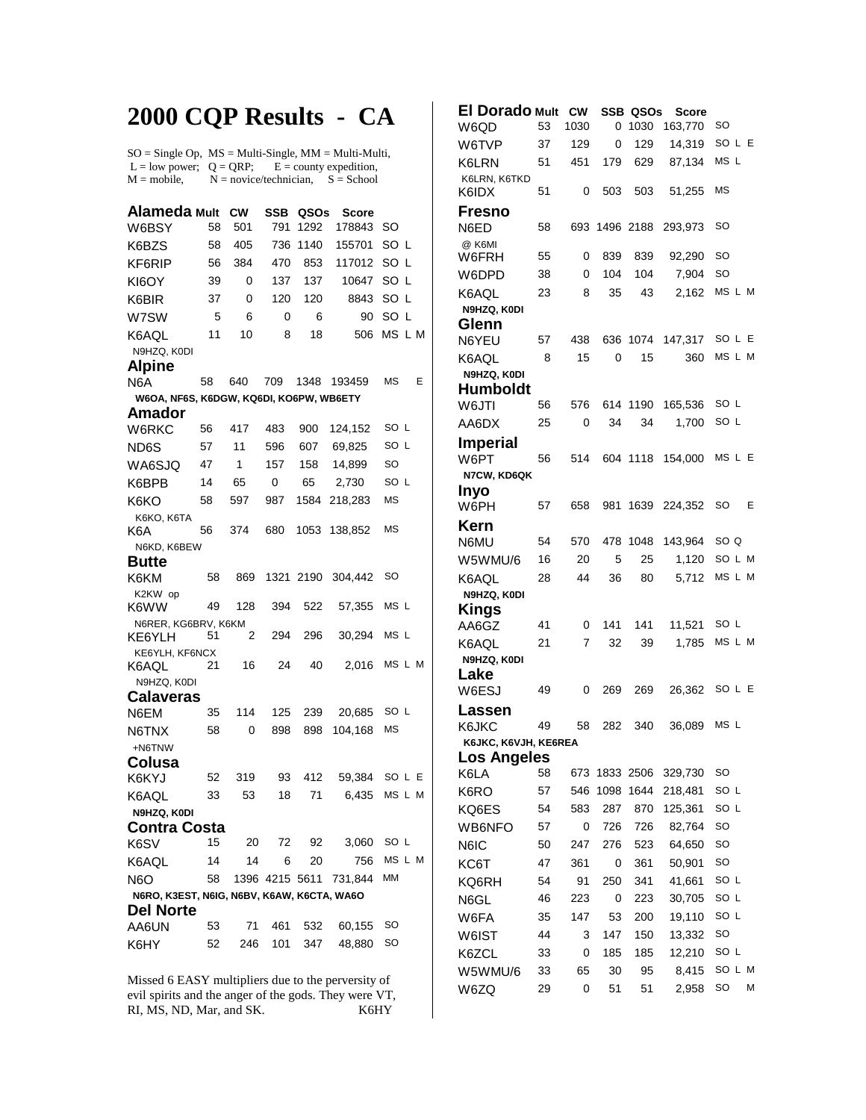## **2000 CQP Results - CA**

SO = Single Op, MS = Multi-Single, MM = Multi-Multi, L = low power;  $Q = QRP$ ;  $E =$  county expedition,<br>M = mobile,  $N =$  novice/technician,  $S =$  School  $N = \text{novice/technician}, S = \text{School}$ 

| Alameda Mult                               |    | <b>CW</b> | <b>SSB</b>     | QSOs | Score   |                 |  |  |  |  |  |  |
|--------------------------------------------|----|-----------|----------------|------|---------|-----------------|--|--|--|--|--|--|
| W6BSY                                      | 58 | 501       | 791            | 1292 | 178843  | SO              |  |  |  |  |  |  |
| K6BZS                                      | 58 | 405       | 736            | 1140 | 155701  | SO L            |  |  |  |  |  |  |
| KF6RIP                                     | 56 | 384       | 470            | 853  | 117012  | SO <sub>L</sub> |  |  |  |  |  |  |
| KI6OY                                      | 39 | 0         | 137            | 137  | 10647   | SO L            |  |  |  |  |  |  |
| K6BIR                                      | 37 | 0         | 120            | 120  | 8843    | SO<br>L         |  |  |  |  |  |  |
| W7SW                                       | 5  | 6         | 0              | 6    | 90      | SO L            |  |  |  |  |  |  |
| K6AQL                                      | 11 | 10        | 8              | 18   | 506     | MS L M          |  |  |  |  |  |  |
| N9HZQ, K0DI                                |    |           |                |      |         |                 |  |  |  |  |  |  |
| <b>Alpine</b>                              |    |           |                |      |         |                 |  |  |  |  |  |  |
| N6A                                        | 58 | 640       | 709            | 1348 | 193459  | <b>MS</b><br>E  |  |  |  |  |  |  |
| W6OA, NF6S, K6DGW, KQ6DI, KO6PW, WB6ETY    |    |           |                |      |         |                 |  |  |  |  |  |  |
| Amador                                     | 56 | 417       | 483            | 900  | 124,152 | SO L            |  |  |  |  |  |  |
| W6RKC                                      |    | 11        |                |      |         | SO L            |  |  |  |  |  |  |
| ND6S                                       | 57 |           | 596            | 607  | 69,825  |                 |  |  |  |  |  |  |
| WA6SJQ                                     | 47 | 1         | 157            | 158  | 14,899  | SO<br>SO L      |  |  |  |  |  |  |
| K6BPB                                      | 14 | 65        | 0              | 65   | 2,730   |                 |  |  |  |  |  |  |
| K6KO                                       | 58 | 597       | 987            | 1584 | 218,283 | <b>MS</b>       |  |  |  |  |  |  |
| K6KO, K6TA<br>K6A                          | 56 | 374       | 680            | 1053 | 138,852 | ΜS              |  |  |  |  |  |  |
| N6KD, K6BEW                                |    |           |                |      |         |                 |  |  |  |  |  |  |
| <b>Butte</b>                               |    |           |                |      |         |                 |  |  |  |  |  |  |
| K6KM                                       | 58 | 869       | 1321           | 2190 | 304,442 | SO              |  |  |  |  |  |  |
| K2KW op<br>K6WW                            | 49 | 128       | 394            | 522  | 57,355  | MS L            |  |  |  |  |  |  |
| N6RER, KG6BRV, K6KM                        | 51 |           |                | 296  |         | MS L            |  |  |  |  |  |  |
| KE6YLH<br>KE6YLH, KF6NCX                   |    | 2         | 294            |      | 30,294  |                 |  |  |  |  |  |  |
| K6AQL                                      | 21 | 16        | 24             | 40   | 2,016   | MS L M          |  |  |  |  |  |  |
| N9HZQ, K0DI                                |    |           |                |      |         |                 |  |  |  |  |  |  |
| Calaveras                                  |    |           |                |      |         |                 |  |  |  |  |  |  |
| N6EM                                       | 35 | 114       | 125            | 239  | 20,685  | SO L            |  |  |  |  |  |  |
| N6TNX                                      | 58 | 0         | 898            | 898  | 104,168 | <b>MS</b>       |  |  |  |  |  |  |
| +N6TNW                                     |    |           |                |      |         |                 |  |  |  |  |  |  |
| Colusa                                     |    |           |                |      |         |                 |  |  |  |  |  |  |
| K6KYJ                                      | 52 | 319       | 93             | 412  | 59,384  | SO L<br>Е       |  |  |  |  |  |  |
| K6AQL                                      | 33 | 53        | 18             | 71   | 6,435   | MS L M          |  |  |  |  |  |  |
| N9HZQ, K0DI<br>Contra Costa                |    |           |                |      |         |                 |  |  |  |  |  |  |
|                                            | 15 | 20        | 72             | 92   | 3,060   | SO L            |  |  |  |  |  |  |
| K6SV                                       | 14 | 14        | 6              | 20   | 756     | MS L M          |  |  |  |  |  |  |
| K6AQL<br><b>N6O</b>                        |    |           | 1396 4215 5611 |      |         | МM              |  |  |  |  |  |  |
| N6RO, K3EST, N6IG, N6BV, K6AW, K6CTA, WA6O | 58 |           |                |      | 731,844 |                 |  |  |  |  |  |  |
| <b>Del Norte</b>                           |    |           |                |      |         |                 |  |  |  |  |  |  |
| AA6UN                                      | 53 | 71        | 461            | 532  | 60,155  | SO              |  |  |  |  |  |  |
| K6HY                                       | 52 | 246       | 101            | 347  | 48,880  | SO              |  |  |  |  |  |  |
|                                            |    |           |                |      |         |                 |  |  |  |  |  |  |

Missed 6 EASY multipliers due to the perversity of evil spirits and the anger of the gods. They were VT, RI, MS, ND, Mar, and SK. K6HY RI, MS, ND, Mar, and SK.

| <b>El Dorado Mult</b>   |    | <b>CW</b> |      | SSB QSOs | <b>Score</b> |           |   |
|-------------------------|----|-----------|------|----------|--------------|-----------|---|
| W6QD                    | 53 | 1030      | 0    | 1030     | 163,770      | SO        |   |
| W6TVP                   | 37 | 129       | 0    | 129      | 14,319       | SO L E    |   |
| K6LRN                   | 51 | 451       | 179  | 629      | 87,134       | MS L      |   |
| K6LRN, K6TKD<br>K6IDX   | 51 | 0         | 503  | 503      | 51,255       | <b>MS</b> |   |
|                         |    |           |      |          |              |           |   |
| <b>Fresno</b><br>N6ED   | 58 | 693       | 1496 | 2188     | 293,973      | SO        |   |
| @ K6MI<br>W6FRH         | 55 | 0         | 839  | 839      | 92,290       | SO        |   |
| W6DPD                   | 38 | 0         | 104  | 104      | 7,904        | SO        |   |
| K6AQL                   | 23 | 8         | 35   | 43       | 2,162        | MS L M    |   |
| N9HZQ, K0DI             |    |           |      |          |              |           |   |
| Glenn                   |    |           |      |          |              |           |   |
| N6YEU                   | 57 | 438       | 636  | 1074     | 147,317      | SOLE      |   |
| K6AQL                   | 8  | 15        | 0    | 15       | 360          | MS L M    |   |
| N9HZQ, K0DI             |    |           |      |          |              |           |   |
| Humboldt                |    |           |      |          |              |           |   |
| W6JTI                   | 56 | 576       | 614  | 1190     | 165,536      | SO L      |   |
| AA6DX                   | 25 | 0         | 34   | 34       | 1.700        | SO L      |   |
| <b>Imperial</b><br>W6PT | 56 | 514       |      | 604 1118 | 154,000      | MS L E    |   |
| N7CW, KD6QK             |    |           |      |          |              |           |   |
| Inyo                    |    |           |      |          |              |           |   |
| W6PH                    | 57 | 658       | 981  | 1639     | 224.352      | SO        | Ε |
| Kern                    |    |           |      |          |              |           |   |
| N6MU                    | 54 | 570       | 478  | 1048     | 143,964      | SO Q      |   |
| W5WMU/6                 | 16 | 20        | 5    | 25       | 1,120        | SO L M    |   |
| K6AQL                   | 28 | 44        | 36   | 80       | 5,712        | MS L M    |   |
| N9HZQ, K0DI             |    |           |      |          |              |           |   |
| Kings<br>AA6GZ          | 41 | 0         | 141  | 141      | 11,521       | SO L      |   |
| K6AQL                   | 21 | 7         | 32   | 39       | 1,785        | MS L M    |   |
| N9HZQ, K0DI             |    |           |      |          |              |           |   |
| Lake                    |    |           |      |          |              |           |   |
| W6ESJ                   | 49 | 0         | 269  | 269      | 26,362       | SO L E    |   |
| Lassen                  |    |           |      |          |              |           |   |
| K6JKC                   | 49 | 58        | 282  | 340      | 36,089       | MS L      |   |
| K6JKC, K6VJH, KE6REA    |    |           |      |          |              |           |   |
| <b>Los Angeles</b>      |    |           |      |          |              |           |   |
| K6LA                    | 58 | 673       | 1833 | 2506     | 329,730      | SO        |   |
| K6RO                    | 57 | 546       | 1098 | 1644     | 218,481      | SO L      |   |
| KQ6ES                   | 54 | 583       | 287  | 870      | 125,361      | SO L      |   |
| WB6NFO                  | 57 | 0         | 726  | 726      | 82,764       | SO        |   |
| N6IC                    | 50 | 247       | 276  | 523      | 64,650       | SO        |   |
| KC6T                    | 47 | 361       | 0    | 361      | 50,901       | SO        |   |
| KQ6RH                   | 54 | 91        | 250  | 341      | 41,661       | SO L      |   |
| N6GL                    | 46 | 223       | 0    | 223      | 30,705       | SO L      |   |
| W6FA                    | 35 | 147       | 53   | 200      | 19,110       | SO L      |   |
| W6IST                   | 44 | 3         | 147  | 150      | 13,332       | SO        |   |
| K6ZCL                   | 33 | 0         | 185  | 185      | 12,210       | SO L      |   |
| W5WMU/6                 | 33 | 65        | 30   | 95       | 8,415        | SO L M    |   |
| W6ZQ                    | 29 | 0         | 51   | 51       | 2,958        | SO        | М |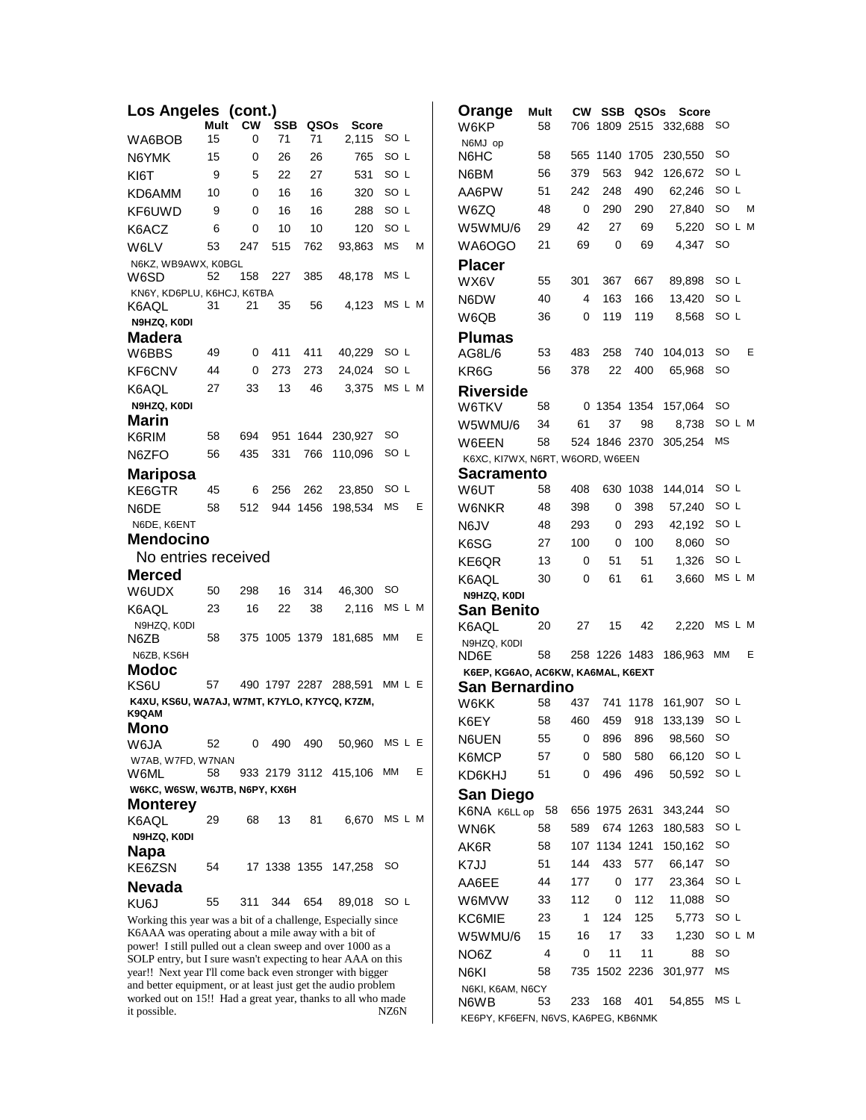| Los Angeles (cont.)                                                                                                      |          |           |               |          |                          |              |   | Orange                              | Mult |             |               |          | <b>CW SSB QSOs Score</b> |           |        |
|--------------------------------------------------------------------------------------------------------------------------|----------|-----------|---------------|----------|--------------------------|--------------|---|-------------------------------------|------|-------------|---------------|----------|--------------------------|-----------|--------|
|                                                                                                                          | Mult     | <b>CW</b> | SSB           | QSOs     | <b>Score</b>             |              |   | W6KP                                | 58   | 706         |               |          | 1809 2515 332,688        | SO        |        |
| WA6BOB                                                                                                                   | 15<br>15 | 0<br>0    | 71<br>26      | 71<br>26 | 2,115<br>765             | SO L<br>SO L |   | N6MJ op<br>N6HC                     | 58   |             | 565 1140 1705 |          | 230,550                  | <b>SO</b> |        |
| N6YMK<br>KI6T                                                                                                            | 9        | 5         | 22            | 27       | 531                      | SO L         |   | N6BM                                | 56   | 379         | 563           | 942      | 126,672                  | SO L      |        |
|                                                                                                                          | 10       | 0         | 16            | 16       | 320                      | SO L         |   | AA6PW                               | 51   | 242         | 248           | 490      | 62.246                   | SO L      |        |
| KD6AMM                                                                                                                   | 9        | 0         | 16            | 16       | 288                      | SO L         |   | W6ZQ                                | 48   | 0           | 290           | 290      | 27,840                   | <b>SO</b> | М      |
| KF6UWD                                                                                                                   | 6        | 0         | 10            | 10       |                          | SO L         |   | W5WMU/6                             | 29   | 42          | 27            | 69       | 5,220                    |           | SO L M |
| K6ACZ<br>W6LV                                                                                                            | 53       | 247       | 515           | 762      | 120<br>93.863            | <b>MS</b>    | м | WA6OGO                              | 21   | 69          | $\Omega$      | 69       | 4,347                    | <b>SO</b> |        |
| N6KZ. WB9AWX. K0BGL                                                                                                      |          |           |               |          |                          |              |   | <b>Placer</b>                       |      |             |               |          |                          |           |        |
| W6SD                                                                                                                     | 52       | 158       | 227           | 385      | 48,178                   | MS L         |   | WX6V                                | 55   | 301         | 367           | 667      | 89,898                   | SO L      |        |
| KN6Y, KD6PLU, K6HCJ, K6TBA                                                                                               |          |           |               |          |                          |              |   | N6DW                                | 40   | 4           | 163           | 166      | 13,420                   | SO L      |        |
| K6AQL                                                                                                                    | 31       | 21        | 35            | 56       | 4.123                    | MS L M       |   | W6QB                                | 36   | $\Omega$    | 119           | 119      | 8,568                    | SO L      |        |
| N9HZQ, K0DI                                                                                                              |          |           |               |          |                          |              |   | <b>Plumas</b>                       |      |             |               |          |                          |           |        |
| Madera<br>W6BBS                                                                                                          | 49       | 0         | 411           | 411      | 40,229                   | SO L         |   | AG8L/6                              | 53   | 483         | 258           | 740      | 104,013                  | <b>SO</b> | Е      |
| KF6CNV                                                                                                                   | 44       | 0         | 273           | 273      | 24,024                   | SO L         |   | KR6G                                | 56   | 378         | 22            | 400      | 65,968                   | <b>SO</b> |        |
| K6AQL                                                                                                                    | 27       | 33        | 13            | 46       | 3,375                    | MS L M       |   |                                     |      |             |               |          |                          |           |        |
| N9HZQ, K0DI                                                                                                              |          |           |               |          |                          |              |   | <b>Riverside</b><br>W6TKV           | 58   |             | 0 1354 1354   |          | 157,064                  | <b>SO</b> |        |
| Marin                                                                                                                    |          |           |               |          |                          |              |   | W5WMU/6                             | 34   | 61          | 37            | 98       | 8,738                    |           | SO L M |
| K6RIM                                                                                                                    | 58       | 694       |               | 951 1644 | 230,927                  | SO           |   | W6EEN                               | 58   |             | 524 1846 2370 |          | 305,254                  | <b>MS</b> |        |
| N6ZFO                                                                                                                    | 56       | 435       | 331           | 766      | 110,096                  | SO L         |   | K6XC, KI7WX, N6RT, W6ORD, W6EEN     |      |             |               |          |                          |           |        |
| <b>Mariposa</b>                                                                                                          |          |           |               |          |                          |              |   | <b>Sacramento</b>                   |      |             |               |          |                          |           |        |
| KE6GTR                                                                                                                   | 45       | 6         | 256           | 262      | 23,850                   | SO L         |   | W6UT                                | 58   | 408         |               | 630 1038 | 144,014                  | SO L      |        |
| N6DE                                                                                                                     | 58       | 512       |               | 944 1456 | 198,534                  | <b>MS</b>    | E | <b>W6NKR</b>                        | 48   | 398         | 0             | 398      | 57,240                   | SO L      |        |
| N6DE, K6ENT                                                                                                              |          |           |               |          |                          |              |   | N6JV                                | 48   | 293         | 0             | 293      | 42,192                   | SO L      |        |
| <b>Mendocino</b>                                                                                                         |          |           |               |          |                          |              |   | K6SG                                | 27   | 100         | 0             | 100      | 8,060                    | <b>SO</b> |        |
| No entries received                                                                                                      |          |           |               |          |                          |              |   | KE6QR                               | 13   | 0           | 51            | 51       | 1,326                    | SO L      |        |
| <b>Merced</b>                                                                                                            |          |           |               |          |                          |              |   | K6AQL                               | 30   | 0           | 61            | 61       | 3,660                    |           | MS L M |
| W6UDX                                                                                                                    | 50       | 298       | 16            | 314      | 46,300                   | <b>SO</b>    |   | N9HZQ, K0DI                         |      |             |               |          |                          |           |        |
| K6AQL                                                                                                                    | 23       | 16        | 22            | 38       | 2,116                    | MS L M       |   | <b>San Benito</b>                   |      |             |               |          |                          |           |        |
| N9HZQ, K0DI                                                                                                              | 58       |           | 375 1005 1379 |          | 181,685                  | ΜМ           | Ε | K6AQL                               | 20   | 27          | 15            | 42       | 2,220                    |           | MS L M |
| N6ZB<br>N6ZB, KS6H                                                                                                       |          |           |               |          |                          |              |   | N9HZQ, K0DI<br>ND6E                 | 58   |             | 258 1226 1483 |          | 186,963 MM               |           | Ε      |
| Modoc                                                                                                                    |          |           |               |          |                          |              |   | K6EP, KG6AO, AC6KW, KA6MAL, K6EXT   |      |             |               |          |                          |           |        |
| KS6U                                                                                                                     | 57       |           |               |          | 490 1797 2287 288,591    | MM L E       |   | <b>San Bernardino</b>               |      |             |               |          |                          |           |        |
| K4XU, KS6U, WA7AJ, W7MT, K7YLO, K7YCQ, K7ZM,                                                                             |          |           |               |          |                          |              |   | W6KK                                | 58   | 437         |               | 741 1178 | 161,907                  | SO L      |        |
| K9QAM                                                                                                                    |          |           |               |          |                          |              |   | K6EY                                | 58   | 460         | 459           |          | 918 133,139              | SO L      |        |
| Mono<br>W6JA                                                                                                             | 52       | 0         | 490           | 490      | 50,960 MS L E            |              |   | N6UEN                               | 55   | $\mathbf 0$ |               |          | 896 896 98,560 SO        |           |        |
| W7AB, W7FD, W7NAN                                                                                                        |          |           |               |          |                          |              |   | K6MCP                               | 57   | 0           | 580           | 580      | 66,120                   | SO L      |        |
| W6ML                                                                                                                     | 58       |           |               |          | 933 2179 3112 415,106 MM |              | Е | KD6KHJ                              | 51   | 0           | 496           | 496      | 50,592                   | SO L      |        |
| W6KC, W6SW, W6JTB, N6PY, KX6H                                                                                            |          |           |               |          |                          |              |   | <b>San Diego</b>                    |      |             |               |          |                          |           |        |
| <b>Monterey</b>                                                                                                          |          |           |               |          |                          |              |   | K6NA K6LL op 58                     |      |             | 656 1975 2631 |          | 343,244                  | SO        |        |
| K6AQL                                                                                                                    | 29       | 68        | 13            | 81       |                          | 6,670 MS L M |   | WN6K                                | 58   | 589         |               | 674 1263 | 180,583                  | SO L      |        |
| N9HZQ, K0DI                                                                                                              |          |           |               |          |                          |              |   | AK6R                                | 58   |             | 107 1134 1241 |          | 150,162                  | <b>SO</b> |        |
| <b>Napa</b><br>KE6ZSN                                                                                                    | 54       |           |               |          | 17 1338 1355 147,258     | SO           |   | K7JJ                                | 51   | 144         | 433           | 577      | 66,147                   | <b>SO</b> |        |
|                                                                                                                          |          |           |               |          |                          |              |   | AA6EE                               | 44   | 177         | 0             | 177      | 23,364                   | SO L      |        |
| <b>Nevada</b><br>KU6J                                                                                                    | 55       | 311       | 344           | 654      | 89,018 SO L              |              |   | W6MVW                               | 33   | 112         | 0             | 112      | 11,088                   | <b>SO</b> |        |
| Working this year was a bit of a challenge, Especially since                                                             |          |           |               |          |                          |              |   | KC6MIE                              | 23   | 1           | 124           | 125      | 5,773                    | SO L      |        |
| K6AAA was operating about a mile away with a bit of                                                                      |          |           |               |          |                          |              |   | W5WMU/6                             | 15   | 16          | 17            | 33       | 1,230                    |           | SO L M |
| power! I still pulled out a clean sweep and over 1000 as a                                                               |          |           |               |          |                          |              |   | NO6Z                                | 4    | 0           | 11            | 11       | 88                       | <b>SO</b> |        |
| SOLP entry, but I sure wasn't expecting to hear AAA on this<br>year!! Next year I'll come back even stronger with bigger |          |           |               |          |                          |              |   | N6KI                                | 58   |             | 735 1502 2236 |          | 301,977                  | <b>MS</b> |        |
| and better equipment, or at least just get the audio problem                                                             |          |           |               |          |                          |              |   | N6KI, K6AM, N6CY                    |      |             |               |          |                          |           |        |
| worked out on 15!! Had a great year, thanks to all who made                                                              |          |           |               |          |                          |              |   | N6WB                                | 53   | 233         | 168           | 401      | 54,855                   | MS L      |        |
| it possible.                                                                                                             |          |           |               |          |                          | NZ6N         |   | KE6PY, KF6EFN, N6VS, KA6PEG, KB6NMK |      |             |               |          |                          |           |        |